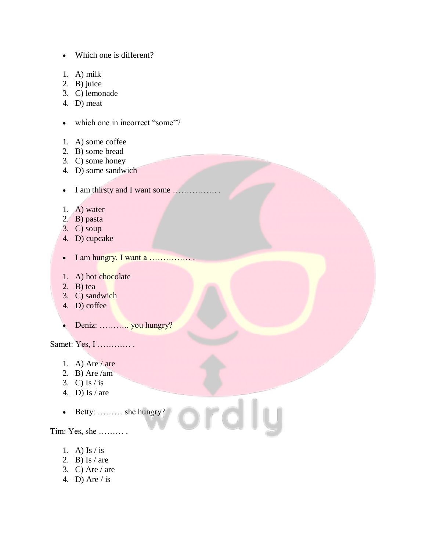Which one is different?

- 1. A) milk
- 2. B) juice
- 3. C) lemonade
- 4. D) meat
- which one in incorrect "some"?
- 1. A) some coffee
- 2. B) some bread
- 3. C) some honey
- 4. D) some sandwich
- I am thirsty and I want some ……………. .
- 1. A) water
- 2. B) pasta
- 3. C) soup
- 4. D) cupcake
- I am hungry. I want a …………… .
- 1. A) hot chocolate
- 2. B) tea
- 3. C) sandwich
- 4. D) coffee
- Deniz: ……….. you hungry?

Samet: Yes, I ………… .

- 1. A) Are / are
- 2. B) Are /am
- 3. C) Is  $/$  is
- 4. D) Is / are
- Betty: ……… she hungry?

ordly

Tim: Yes, she ……… .

- 1. A) Is  $/$  is
- 2. B) Is  $/$  are
- 3. C) Are  $/$  are
- 4. D) Are  $/$  is